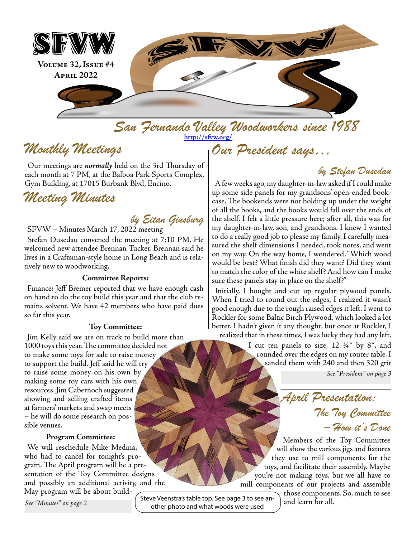

*San Fernando Valley Woodworkers since 1988 Our President says…* **<http://sfvw.org/>**

# *Monthly Meetings*

Our meetings are *normally* held on the 3rd Thursday of each month at 7 PM, at the Balboa Park Sports Complex, Gym Building, at 17015 Burbank Blvd, Encino.

# *Meeting Minutes*

### *by Eitan Ginsburg*

SFVW – Minutes March 17, 2022 meeting

Stefan Dusedau convened the meeting at 7:10 PM. He welcomed new attendee Brennan Tucker. Brennan said he lives in a Craftsman-style home in Long Beach and is relatively new to woodworking.

#### **Committee Reports:**

Finance: Jeff Bremer reported that we have enough cash on hand to do the toy build this year and that the club remains solvent. We have 42 members who have paid dues so far this year.

#### **Toy Committee:**

Jim Kelly said we are on track to build more than 1000 toys this year. The committee decided not to make some toys for sale to raise money to support the build. Jeff said he will try to raise some money on his own by making some toy cars with his own resources. Jim Cabernoch suggested showing and selling crafted items at farmers' markets and swap meets – he will do some research on possible venues.

#### **Program Committee:**

We will reschedule Mike Medina, who had to cancel for tonight's program. The April program will be a presentation of the Toy Committee designs and possibly an additional activity, and the May program will be about build-

*See "Minutes" on page 2*

Steve Veenstra's table top. See page 3 to see another photo and what woods were used

### *by Stefan Dusedau*

A few weeks ago, my daughter-in-law asked if I could make up some side panels for my grandsons' open-ended bookcase. The bookends were not holding up under the weight of all the books, and the books would fall over the ends of the shelf. I felt a little pressure here; after all, this was for my daughter-in-law, son, and grandsons. I knew I wanted to do a really good job to please my family. I carefully measured the shelf dimensions I needed, took notes, and went on my way. On the way home, I wondered, "Which wood would be best? What finish did they want? Did they want to match the color of the white shelf? And how can I make sure these panels stay in place on the shelf?"

Initially, I bought and cut up regular plywood panels. When I tried to round out the edges, I realized it wasn't good enough due to the rough raised edges it left. I went to Rockler for some Baltic Birch Plywood, which looked a lot better. I hadn't given it any thought, but once at Rockler, I realized that in these times, I was lucky they had any left.

> I cut ten panels to size, 12 ¾˝ by 8˝, and rounded over the edges on my router table. I sanded them with 240 and then 320 grit

> > *See "President" on page 3*

*April Presentation: The Toy Committee – How it's Done* 

Members of the Toy Committee will show the various jigs and fixtures they use to mill components for the toys, and facilitate their assembly. Maybe you're not making toys, but we all have to mill components of our projects and assemble

those components. So, much to see and learn for all.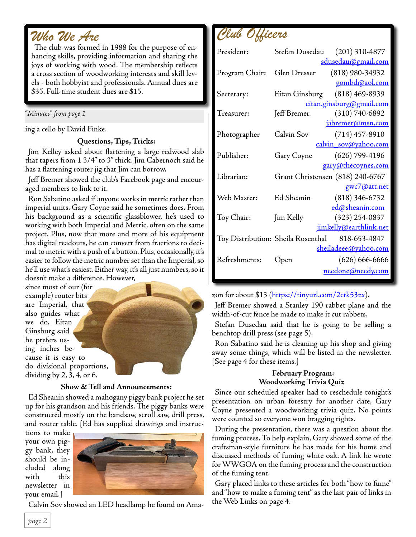## *Who We Are*

The club was formed in 1988 for the purpose of enhancing skills, providing information and sharing the joys of working with wood. The membership reflects a cross section of woodworking interests and skill levels - both hobbyist and professionals. Annual dues are \$35. Full-time student dues are \$15.

#### *"Minutes" from page 1*

ing a cello by David Finke.

### **Questions, Tips, Tricks:**

Jim Kelley asked about flattening a large redwood slab that tapers from 1 3/4" to 3" thick. Jim Cabernoch said he has a flattening router jig that Jim can borrow.

Jeff Bremer showed the club's Facebook page and encouraged members to link to it.

Ron Sabatino asked if anyone works in metric rather than imperial units. Gary Coyne said he sometimes does. From his background as a scientific glassblower, he's used to working with both Imperial and Metric, often on the same project. Plus, now that more and more of his equipment has digital readouts, he can convert from fractions to decimal to metric with a push of a button. Plus, occasionally, it's easier to follow the metric number set than the Imperial, so he'll use what's easiest. Either way, it's all just numbers, so it doesn't make a difference. However,

since most of our (for example) router bits are Imperial, that also guides what we do. Eitan Ginsburg said he prefers using inches because it is easy to do divisional proportions, dividing by 2, 3, 4, or 6.



#### **Show & Tell and Announcements:**

Ed Sheanin showed a mahogany piggy bank project he set up for his grandson and his friends. The piggy banks were constructed mostly on the bandsaw, scroll saw, drill press, and router table. [Ed has supplied drawings and instruc-

tions to make your own piggy bank, they should be included along with this newsletter in your email.]



Calvin Sov showed an LED headlamp he found on Ama-



| President:                         |              | Stefan Dusedau (201) 310-4877    |
|------------------------------------|--------------|----------------------------------|
|                                    |              | sdusedau@gmail.com               |
| Program Chair:                     | Glen Dresser | $(818)$ 980-34932                |
|                                    |              | gombd@aol.com                    |
| Secretary:                         |              | Eitan Ginsburg (818) 469-8939    |
|                                    |              | eitan.ginsburg@gmail.com         |
| Treasurer:                         | Jeff Bremer. | (310) 740-6892                   |
|                                    |              | jabremer@msn.com                 |
| Photographer                       | Calvin Sov   | $(714)$ 457-8910                 |
|                                    |              | calvin_sov@yahoo.com             |
| Publisher:                         | Gary Coyne   | (626) 799-4196                   |
|                                    |              | gary@thecoynes.com               |
| Librarian:                         |              | Grant Christensen (818) 240-6767 |
|                                    |              | gwc7@att.net                     |
| Web Master:                        | Ed Sheanin   | $(818)$ 346-6732                 |
|                                    |              | ed@sheanin.com                   |
| Toy Chair:                         | Jim Kelly    | $(323)$ 254-0837                 |
|                                    |              | jimkelly@earthlink.net           |
| Toy Distribution: Sheila Rosenthal |              | 818-653-4847                     |
|                                    |              | <u>sheiladeee@yahoo.com</u>      |
| Refreshments:                      | Open         | $(626) 666 - 6666$               |
|                                    |              | needone@needy.com                |
|                                    |              |                                  |

zon for about \$13 [\(https://tinyurl.com/2ctk53zx](https://tinyurl.com/2ctk53zx)).

Jeff Bremer showed a Stanley 190 rabbet plane and the width-of-cut fence he made to make it cut rabbets.

Stefan Dusedau said that he is going to be selling a benchtop drill press (see page 5).

Ron Sabatino said he is cleaning up his shop and giving away some things, which will be listed in the newsletter. [See page 4 for these items.]

#### **February Program: Woodworking Trivia Quiz**

Since our scheduled speaker had to reschedule tonight's presentation on urban forestry for another date, Gary Coyne presented a woodworking trivia quiz. No points were counted so everyone won bragging rights.

During the presentation, there was a question about the fuming process. To help explain, Gary showed some of the craftsman-style furniture he has made for his home and discussed methods of fuming white oak. A link he wrote for WWGOA on the fuming process and the construction of the fuming tent.

Gary placed links to these articles for both "how to fume" and "how to make a fuming tent" as the last pair of links in the Web Links on page 4.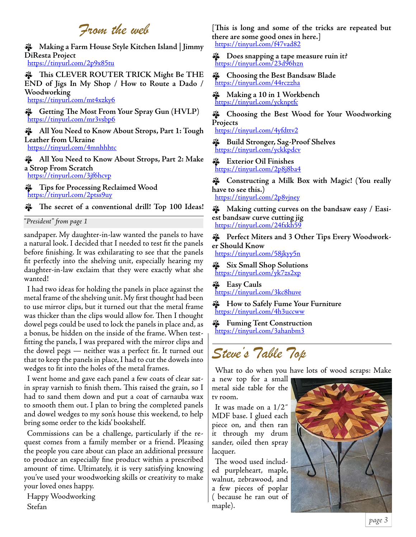## *From the web*

ɵ **Making a Farm House Style Kitchen Island | Jimmy DiResta Project** <https://tinyurl.com/2p9x85tu>

ɵ **This CLEVER ROUTER TRICK Might Be THE END of Jigs In My Shop / How to Route a Dado / Woodworking** <https://tinyurl.com/mt4xzky6>

ɵ **Getting The Most From Your Spray Gun (HVLP)** <https://tinyurl.com/mr3vsbp6>

ɵ **All You Need to Know About Strops, Part 1: Tough Leather from Ukraine** <https://tinyurl.com/4mnhhhtc>

ɵ **All You Need to Know About Strops, Part 2: Make a Strop From Scratch** <https://tinyurl.com/3jf6hcvp>

ɵ **Tips for Processing Reclaimed Wood** <https://tinyurl.com/2ptss9uy>

ɵ **The secret of a conventional drill! Top 100 Ideas!** 

*"President" from page 1*

sandpaper. My daughter-in-law wanted the panels to have a natural look. I decided that I needed to test fit the panels before finishing. It was exhilarating to see that the panels fit perfectly into the shelving unit, especially hearing my daughter-in-law exclaim that they were exactly what she wanted!

I had two ideas for holding the panels in place against the metal frame of the shelving unit. My first thought had been to use mirror clips, but it turned out that the metal frame was thicker than the clips would allow for. Then I thought dowel pegs could be used to lock the panels in place and, as a bonus, be hidden on the inside of the frame. When testfitting the panels, I was prepared with the mirror clips and the dowel pegs — neither was a perfect fit. It turned out that to keep the panels in place, I had to cut the dowels into wedges to fit into the holes of the metal frames.

I went home and gave each panel a few coats of clear satin spray varnish to finish them. This raised the grain, so I had to sand them down and put a coat of carnauba wax to smooth them out. I plan to bring the completed panels and dowel wedges to my son's house this weekend, to help bring some order to the kids' bookshelf.

Commissions can be a challenge, particularly if the request comes from a family member or a friend. Pleasing the people you care about can place an additional pressure to produce an especially fine product within a prescribed amount of time. Ultimately, it is very satisfying knowing you've used your woodworking skills or creativity to make your loved ones happy.

Happy Woodworking Stefan

**[This is long and some of the tricks are repeated but there are some good ones in here.]** <https://tinyurl.com/f47vad82>

ɵ **Does snapping a tape measure ruin it?** <https://tinyurl.com/23d96hzn>

ɵ **Choosing the Best Bandsaw Blade** <https://tinyurl.com/44rczzha>

ɵ **Making a 10 in 1 Workbench** <https://tinyurl.com/ycknptfc>

ɵ **Choosing the Best Wood for Your Woodworking Projects**

<https://tinyurl.com/4yfdttv2>

ɵ **Build Stronger, Sag-Proof Shelves** <https://tinyurl.com/yckkpdcv>

ɵ **Exterior Oil Finishes** <https://tinyurl.com/2p8j8ba4>

ɵ **Constructing a Milk Box with Magic! (You really have to see this.)**

<https://tinyurl.com/2p8vjney>

ɵ **Making cutting curves on the bandsaw easy / Easiest bandsaw curve cutting jig** <https://tinyurl.com/24fxkh59>

ɵ **Perfect Miters and 3 Other Tips Every Woodworker Should Know**

<https://tinyurl.com/58jkyy5n>

ɵ **Six Small Shop Solutions** <https://tinyurl.com/yk7zs2xp>

ɵ **Easy Cauls** <https://tinyurl.com/3kc8huve>

ɵ **How to Safely Fume Your Furniture** <https://tinyurl.com/4h3uccww>

ɵ **Fuming Tent Construction** <https://tinyurl.com/3ahanbm3>

# *Steve's Table Top*

What to do when you have lots of wood scraps: Make

a new top for a small metal side table for the tv room.

It was made on a 1/2˝ MDF base. I glued each piece on, and then ran it through my drum sander, oiled then spray lacquer.

The wood used included purpleheart, maple, walnut, zebrawood, and a few pieces of poplar ( because he ran out of maple).

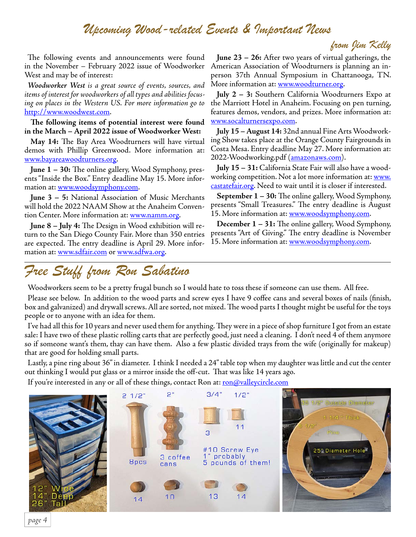### *Upcoming Wood-related Events & Important News*

### *from Jim Kelly*

The following events and announcements were found in the November – February 2022 issue of Woodworker West and may be of interest:

*Woodworker West is a great source of events, sources, and items of interest for woodworkers of all types and abilities focusing on places in the Western US. For more information go to* [http://www.woodwest.com.](http://www.woodwest.com)

**The following items of potential interest were found in the March – April 2022 issue of Woodworker West:**

**May 14:** The Bay Area Woodturners will have virtual demos with Phillip Greenwood. More information at: [www.bayareawoodturners.org](http://www.bayareawoodturners.org).

**June 1 – 30:** The online gallery, Wood Symphony, presents "Inside the Box." Entry deadline May 15. More information at: [www.woodsymphony.com](http://www.woodsymphony.com).

**June 3 – 5:** National Association of Music Merchants will hold the 2022 NAAM Show at the Anaheim Convention Center. More information at: [www.namm.org.](http://www.namm.org)

**June 8 – July 4:** The Design in Wood exhibition will return to the San Diego County Fair. More than 350 entries are expected. The entry deadline is April 29. More information at: [www.sdfair.com](http://www.sdfair.com) or [www.sdfwa.org](http://www.sdfwa.org).

**June 23 – 26:** After two years of virtual gatherings, the American Association of Woodturners is planning an inperson 37th Annual Symposium in Chattanooga, TN. More information at: <u>www.woodturner.org</u>.

**July 2 – 3:** Southern California Woodturners Expo at the Marriott Hotel in Anaheim. Focusing on pen turning, features demos, vendors, and prizes. More information at: [www.socalturnersexpo.com.](http://www.socalturnersexpo.com)

**July 15 – August 14:** 32nd annual Fine Arts Woodworking Show takes place at the Orange County Fairgrounds in Costa Mesa. Entry deadline May 27. More information at: 2022-Woodworking.pdf (<u>amazonaws.com</u>).

**July 15 – 31:** California State Fair will also have a woodworking competition. Not a lot more information at: [www.](http://www.castatefair.org) [castatefair.org.](http://www.castatefair.org) Need to wait until it is closer if interested.

**September 1 – 30:** The online gallery, Wood Symphony, presents "Small Treasures." The entry deadline is August 15. More information at: [www.woodsymphony.com.](http://www.woodsymphony.com)

**December 1 – 31:** The online gallery, Wood Symphony, presents "Art of Giving." The entry deadline is November 15. More information at: [www.woodsymphony.com.](http://www.woodsymphony.com)

# *Free Stuff from Ron Sabatino*

Woodworkers seem to be a pretty frugal bunch so I would hate to toss these if someone can use them. All free.

Please see below. In addition to the wood parts and screw eyes I have 9 coffee cans and several boxes of nails (finish, box and galvanized) and drywall screws. All are sorted, not mixed. The wood parts I thought might be useful for the toys people or to anyone with an idea for them.

I've had all this for 10 years and never used them for anything. They were in a piece of shop furniture I got from an estate sale: I have two of these plastic rolling carts that are perfectly good, just need a cleaning. I don't need 4 of them anymore so if someone want's them, thay can have them. Also a few plastic divided trays from the wife (originally for makeup) that are good for holding small parts.

Lastly, a pine ring about 36" in diameter. I think I needed a 24" table top when my daughter was little and cut the center out thinking I would put glass or a mirror inside the off-cut. That was like 14 years ago.

If you're interested in any or all of these things, contact Ron at: [ron@valleycircle.com](mailto:ron@valleycircle.com)